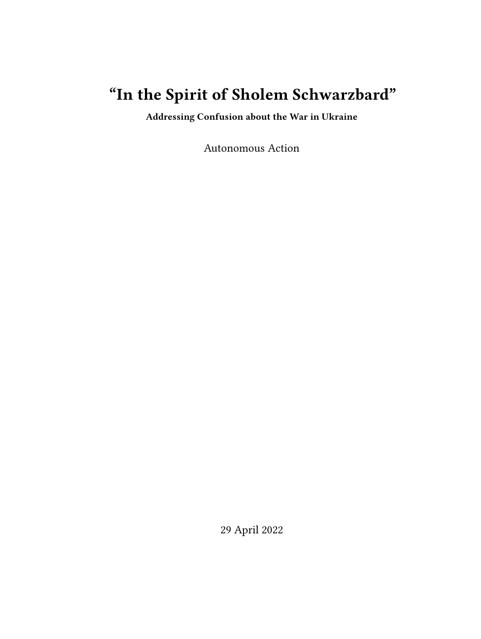# **"In the Spirit of Sholem Schwarzbard"**

**Addressing Confusion about the War in Ukraine**

Autonomous Action

29 April 2022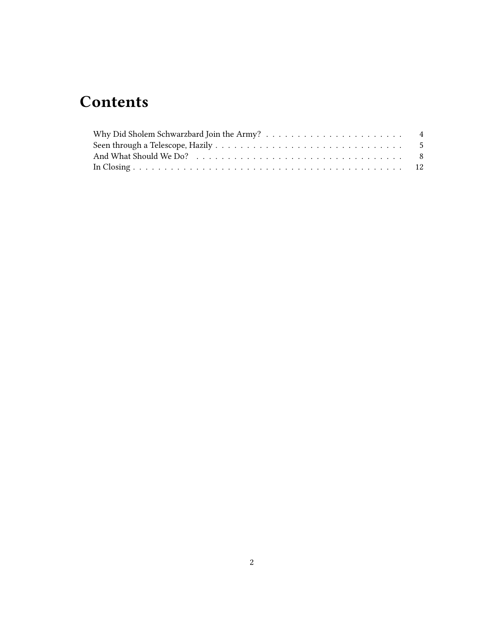## **Contents**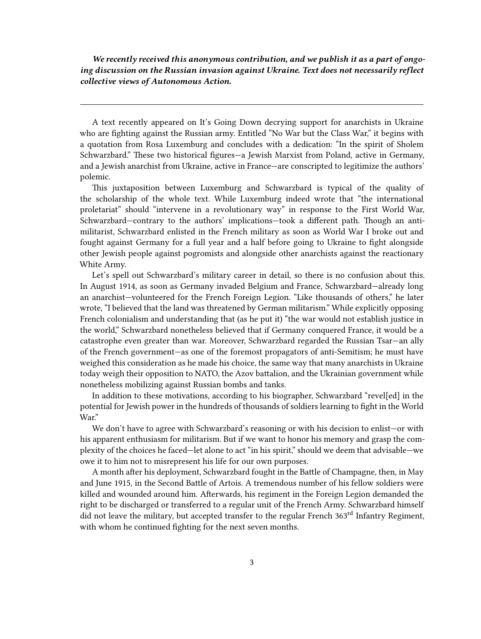*We recently received this anonymous contribution, and we publish it as a part of ongoing discussion on the Russian invasion against Ukraine. Text does not necessarily reflect collective views of Autonomous Action.*

A text recently appeared on It's Going Down decrying support for anarchists in Ukraine who are fighting against the Russian army. Entitled "No War but the Class War," it begins with a quotation from Rosa Luxemburg and concludes with a dedication: "In the spirit of Sholem Schwarzbard." These two historical figures—a Jewish Marxist from Poland, active in Germany, and a Jewish anarchist from Ukraine, active in France—are conscripted to legitimize the authors' polemic.

This juxtaposition between Luxemburg and Schwarzbard is typical of the quality of the scholarship of the whole text. While Luxemburg indeed wrote that "the international proletariat" should "intervene in a revolutionary way" in response to the First World War, Schwarzbard—contrary to the authors' implications—took a different path. Though an antimilitarist, Schwarzbard enlisted in the French military as soon as World War I broke out and fought against Germany for a full year and a half before going to Ukraine to fight alongside other Jewish people against pogromists and alongside other anarchists against the reactionary White Army.

Let's spell out Schwarzbard's military career in detail, so there is no confusion about this. In August 1914, as soon as Germany invaded Belgium and France, Schwarzbard—already long an anarchist—volunteered for the French Foreign Legion. "Like thousands of others," he later wrote, "I believed that the land was threatened by German militarism." While explicitly opposing French colonialism and understanding that (as he put it) "the war would not establish justice in the world," Schwarzbard nonetheless believed that if Germany conquered France, it would be a catastrophe even greater than war. Moreover, Schwarzbard regarded the Russian Tsar—an ally of the French government—as one of the foremost propagators of anti-Semitism; he must have weighed this consideration as he made his choice, the same way that many anarchists in Ukraine today weigh their opposition to NATO, the Azov battalion, and the Ukrainian government while nonetheless mobilizing against Russian bombs and tanks.

In addition to these motivations, according to his biographer, Schwarzbard "revel[ed] in the potential for Jewish power in the hundreds of thousands of soldiers learning to fight in the World War."

We don't have to agree with Schwarzbard's reasoning or with his decision to enlist—or with his apparent enthusiasm for militarism. But if we want to honor his memory and grasp the complexity of the choices he faced—let alone to act "in his spirit," should we deem that advisable—we owe it to him not to misrepresent his life for our own purposes.

A month after his deployment, Schwarzbard fought in the Battle of Champagne, then, in May and June 1915, in the Second Battle of Artois. A tremendous number of his fellow soldiers were killed and wounded around him. Afterwards, his regiment in the Foreign Legion demanded the right to be discharged or transferred to a regular unit of the French Army. Schwarzbard himself did not leave the military, but accepted transfer to the regular French 363<sup>rd</sup> Infantry Regiment, with whom he continued fighting for the next seven months.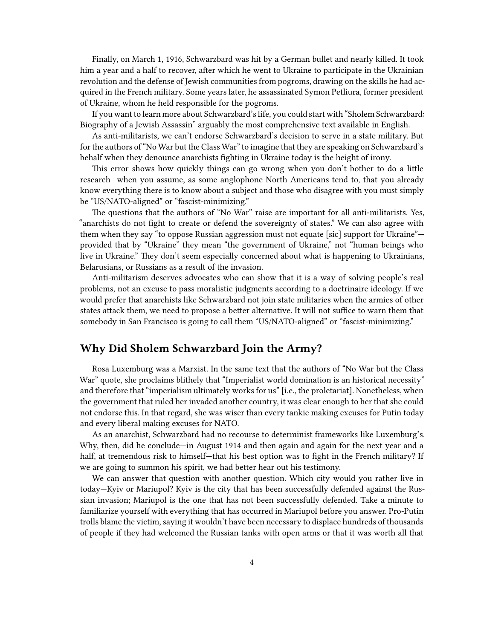Finally, on March 1, 1916, Schwarzbard was hit by a German bullet and nearly killed. It took him a year and a half to recover, after which he went to Ukraine to participate in the Ukrainian revolution and the defense of Jewish communities from pogroms, drawing on the skills he had acquired in the French military. Some years later, he assassinated Symon Petliura, former president of Ukraine, whom he held responsible for the pogroms.

If you want to learn more about Schwarzbard's life, you could start with "Sholem Schwarzbard: Biography of a Jewish Assassin" arguably the most comprehensive text available in English.

As anti-militarists, we can't endorse Schwarzbard's decision to serve in a state military. But for the authors of "No War but the Class War" to imagine that they are speaking on Schwarzbard's behalf when they denounce anarchists fighting in Ukraine today is the height of irony.

This error shows how quickly things can go wrong when you don't bother to do a little research—when you assume, as some anglophone North Americans tend to, that you already know everything there is to know about a subject and those who disagree with you must simply be "US/NATO-aligned" or "fascist-minimizing."

The questions that the authors of "No War" raise are important for all anti-militarists. Yes, "anarchists do not fight to create or defend the sovereignty of states." We can also agree with them when they say "to oppose Russian aggression must not equate [sic] support for Ukraine" provided that by "Ukraine" they mean "the government of Ukraine," not "human beings who live in Ukraine." They don't seem especially concerned about what is happening to Ukrainians, Belarusians, or Russians as a result of the invasion.

Anti-militarism deserves advocates who can show that it is a way of solving people's real problems, not an excuse to pass moralistic judgments according to a doctrinaire ideology. If we would prefer that anarchists like Schwarzbard not join state militaries when the armies of other states attack them, we need to propose a better alternative. It will not suffice to warn them that somebody in San Francisco is going to call them "US/NATO-aligned" or "fascist-minimizing."

### <span id="page-3-0"></span>**Why Did Sholem Schwarzbard Join the Army?**

Rosa Luxemburg was a Marxist. In the same text that the authors of "No War but the Class War" quote, she proclaims blithely that "Imperialist world domination is an historical necessity" and therefore that "imperialism ultimately works for us" [i.e., the proletariat]. Nonetheless, when the government that ruled her invaded another country, it was clear enough to her that she could not endorse this. In that regard, she was wiser than every tankie making excuses for Putin today and every liberal making excuses for NATO.

As an anarchist, Schwarzbard had no recourse to determinist frameworks like Luxemburg's. Why, then, did he conclude—in August 1914 and then again and again for the next year and a half, at tremendous risk to himself—that his best option was to fight in the French military? If we are going to summon his spirit, we had better hear out his testimony.

We can answer that question with another question. Which city would you rather live in today—Kyiv or Mariupol? Kyiv is the city that has been successfully defended against the Russian invasion; Mariupol is the one that has not been successfully defended. Take a minute to familiarize yourself with everything that has occurred in Mariupol before you answer. Pro-Putin trolls blame the victim, saying it wouldn't have been necessary to displace hundreds of thousands of people if they had welcomed the Russian tanks with open arms or that it was worth all that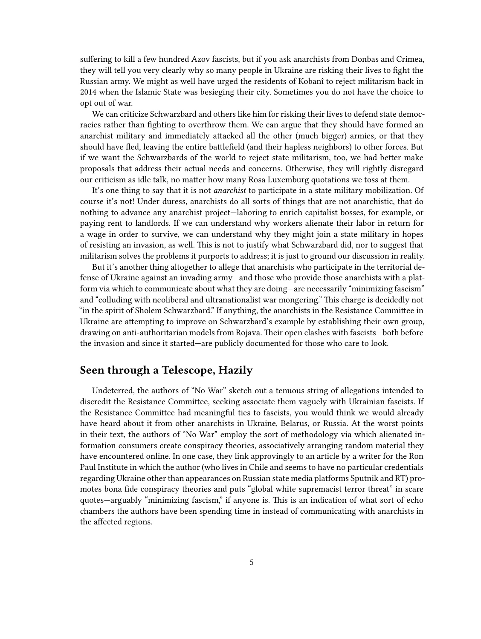suffering to kill a few hundred Azov fascists, but if you ask anarchists from Donbas and Crimea, they will tell you very clearly why so many people in Ukraine are risking their lives to fight the Russian army. We might as well have urged the residents of Kobanî to reject militarism back in 2014 when the Islamic State was besieging their city. Sometimes you do not have the choice to opt out of war.

We can criticize Schwarzbard and others like him for risking their lives to defend state democracies rather than fighting to overthrow them. We can argue that they should have formed an anarchist military and immediately attacked all the other (much bigger) armies, or that they should have fled, leaving the entire battlefield (and their hapless neighbors) to other forces. But if we want the Schwarzbards of the world to reject state militarism, too, we had better make proposals that address their actual needs and concerns. Otherwise, they will rightly disregard our criticism as idle talk, no matter how many Rosa Luxemburg quotations we toss at them.

It's one thing to say that it is not *anarchist* to participate in a state military mobilization. Of course it's not! Under duress, anarchists do all sorts of things that are not anarchistic, that do nothing to advance any anarchist project—laboring to enrich capitalist bosses, for example, or paying rent to landlords. If we can understand why workers alienate their labor in return for a wage in order to survive, we can understand why they might join a state military in hopes of resisting an invasion, as well. This is not to justify what Schwarzbard did, nor to suggest that militarism solves the problems it purports to address; it is just to ground our discussion in reality.

But it's another thing altogether to allege that anarchists who participate in the territorial defense of Ukraine against an invading army—and those who provide those anarchists with a platform via which to communicate about what they are doing—are necessarily "minimizing fascism" and "colluding with neoliberal and ultranationalist war mongering." This charge is decidedly not "in the spirit of Sholem Schwarzbard." If anything, the anarchists in the Resistance Committee in Ukraine are attempting to improve on Schwarzbard's example by establishing their own group, drawing on anti-authoritarian models from Rojava. Their open clashes with fascists—both before the invasion and since it started—are publicly documented for those who care to look.

#### <span id="page-4-0"></span>**Seen through a Telescope, Hazily**

Undeterred, the authors of "No War" sketch out a tenuous string of allegations intended to discredit the Resistance Committee, seeking associate them vaguely with Ukrainian fascists. If the Resistance Committee had meaningful ties to fascists, you would think we would already have heard about it from other anarchists in Ukraine, Belarus, or Russia. At the worst points in their text, the authors of "No War" employ the sort of methodology via which alienated information consumers create conspiracy theories, associatively arranging random material they have encountered online. In one case, they link approvingly to an article by a writer for the Ron Paul Institute in which the author (who lives in Chile and seems to have no particular credentials regarding Ukraine other than appearances on Russian state media platforms Sputnik and RT) promotes bona fide conspiracy theories and puts "global white supremacist terror threat" in scare quotes—arguably "minimizing fascism," if anyone is. This is an indication of what sort of echo chambers the authors have been spending time in instead of communicating with anarchists in the affected regions.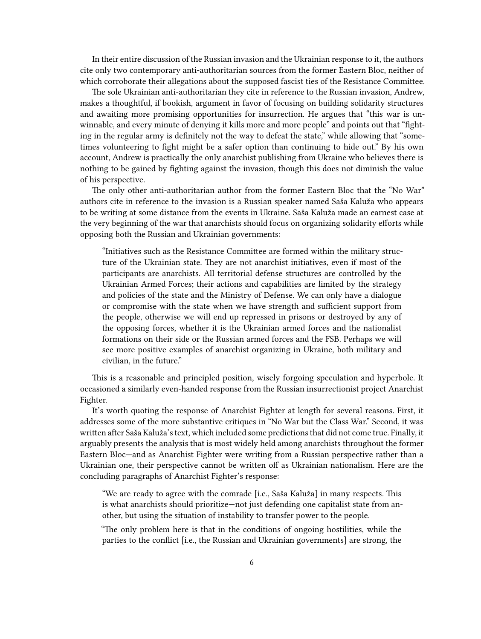In their entire discussion of the Russian invasion and the Ukrainian response to it, the authors cite only two contemporary anti-authoritarian sources from the former Eastern Bloc, neither of which corroborate their allegations about the supposed fascist ties of the Resistance Committee.

The sole Ukrainian anti-authoritarian they cite in reference to the Russian invasion, Andrew, makes a thoughtful, if bookish, argument in favor of focusing on building solidarity structures and awaiting more promising opportunities for insurrection. He argues that "this war is unwinnable, and every minute of denying it kills more and more people" and points out that "fighting in the regular army is definitely not the way to defeat the state," while allowing that "sometimes volunteering to fight might be a safer option than continuing to hide out." By his own account, Andrew is practically the only anarchist publishing from Ukraine who believes there is nothing to be gained by fighting against the invasion, though this does not diminish the value of his perspective.

The only other anti-authoritarian author from the former Eastern Bloc that the "No War" authors cite in reference to the invasion is a Russian speaker named Saša Kaluža who appears to be writing at some distance from the events in Ukraine. Saša Kaluža made an earnest case at the very beginning of the war that anarchists should focus on organizing solidarity efforts while opposing both the Russian and Ukrainian governments:

"Initiatives such as the Resistance Committee are formed within the military structure of the Ukrainian state. They are not anarchist initiatives, even if most of the participants are anarchists. All territorial defense structures are controlled by the Ukrainian Armed Forces; their actions and capabilities are limited by the strategy and policies of the state and the Ministry of Defense. We can only have a dialogue or compromise with the state when we have strength and sufficient support from the people, otherwise we will end up repressed in prisons or destroyed by any of the opposing forces, whether it is the Ukrainian armed forces and the nationalist formations on their side or the Russian armed forces and the FSB. Perhaps we will see more positive examples of anarchist organizing in Ukraine, both military and civilian, in the future."

This is a reasonable and principled position, wisely forgoing speculation and hyperbole. It occasioned a similarly even-handed response from the Russian insurrectionist project Anarchist Fighter.

It's worth quoting the response of Anarchist Fighter at length for several reasons. First, it addresses some of the more substantive critiques in "No War but the Class War." Second, it was written after Saša Kaluža's text, which included some predictions that did not come true. Finally, it arguably presents the analysis that is most widely held among anarchists throughout the former Eastern Bloc—and as Anarchist Fighter were writing from a Russian perspective rather than a Ukrainian one, their perspective cannot be written off as Ukrainian nationalism. Here are the concluding paragraphs of Anarchist Fighter's response:

"We are ready to agree with the comrade [i.e., Saša Kaluža] in many respects. This is what anarchists should prioritize—not just defending one capitalist state from another, but using the situation of instability to transfer power to the people.

"The only problem here is that in the conditions of ongoing hostilities, while the parties to the conflict [i.e., the Russian and Ukrainian governments] are strong, the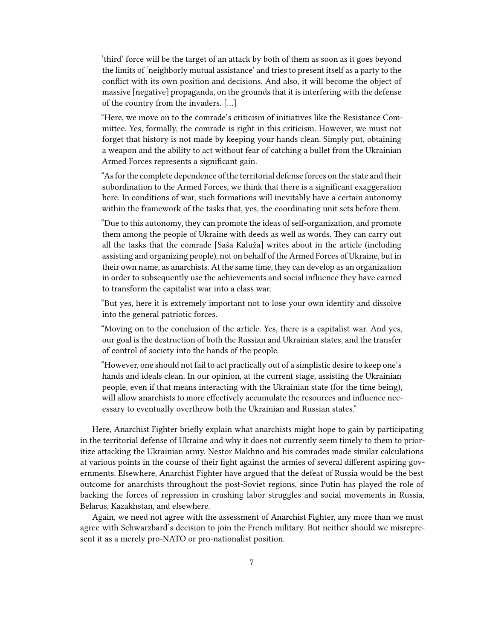'third' force will be the target of an attack by both of them as soon as it goes beyond the limits of 'neighborly mutual assistance' and tries to present itself as a party to the conflict with its own position and decisions. And also, it will become the object of massive [negative] propaganda, on the grounds that it is interfering with the defense of the country from the invaders. […]

"Here, we move on to the comrade's criticism of initiatives like the Resistance Committee. Yes, formally, the comrade is right in this criticism. However, we must not forget that history is not made by keeping your hands clean. Simply put, obtaining a weapon and the ability to act without fear of catching a bullet from the Ukrainian Armed Forces represents a significant gain.

"As for the complete dependence of the territorial defense forces on the state and their subordination to the Armed Forces, we think that there is a significant exaggeration here. In conditions of war, such formations will inevitably have a certain autonomy within the framework of the tasks that, yes, the coordinating unit sets before them.

"Due to this autonomy, they can promote the ideas of self-organization, and promote them among the people of Ukraine with deeds as well as words. They can carry out all the tasks that the comrade [Saša Kaluža] writes about in the article (including assisting and organizing people), not on behalf of the Armed Forces of Ukraine, but in their own name, as anarchists. At the same time, they can develop as an organization in order to subsequently use the achievements and social influence they have earned to transform the capitalist war into a class war.

"But yes, here it is extremely important not to lose your own identity and dissolve into the general patriotic forces.

"Moving on to the conclusion of the article. Yes, there is a capitalist war. And yes, our goal is the destruction of both the Russian and Ukrainian states, and the transfer of control of society into the hands of the people.

"However, one should not fail to act practically out of a simplistic desire to keep one's hands and ideals clean. In our opinion, at the current stage, assisting the Ukrainian people, even if that means interacting with the Ukrainian state (for the time being), will allow anarchists to more effectively accumulate the resources and influence necessary to eventually overthrow both the Ukrainian and Russian states."

Here, Anarchist Fighter briefly explain what anarchists might hope to gain by participating in the territorial defense of Ukraine and why it does not currently seem timely to them to prioritize attacking the Ukrainian army. Nestor Makhno and his comrades made similar calculations at various points in the course of their fight against the armies of several different aspiring governments. Elsewhere, Anarchist Fighter have argued that the defeat of Russia would be the best outcome for anarchists throughout the post-Soviet regions, since Putin has played the role of backing the forces of repression in crushing labor struggles and social movements in Russia, Belarus, Kazakhstan, and elsewhere.

Again, we need not agree with the assessment of Anarchist Fighter, any more than we must agree with Schwarzbard's decision to join the French military. But neither should we misrepresent it as a merely pro-NATO or pro-nationalist position.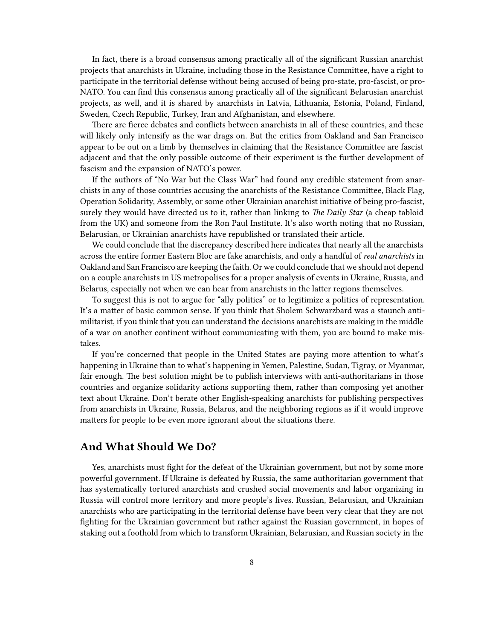In fact, there is a broad consensus among practically all of the significant Russian anarchist projects that anarchists in Ukraine, including those in the Resistance Committee, have a right to participate in the territorial defense without being accused of being pro-state, pro-fascist, or pro-NATO. You can find this consensus among practically all of the significant Belarusian anarchist projects, as well, and it is shared by anarchists in Latvia, Lithuania, Estonia, Poland, Finland, Sweden, Czech Republic, Turkey, Iran and Afghanistan, and elsewhere.

There are fierce debates and conflicts between anarchists in all of these countries, and these will likely only intensify as the war drags on. But the critics from Oakland and San Francisco appear to be out on a limb by themselves in claiming that the Resistance Committee are fascist adjacent and that the only possible outcome of their experiment is the further development of fascism and the expansion of NATO's power.

If the authors of "No War but the Class War" had found any credible statement from anarchists in any of those countries accusing the anarchists of the Resistance Committee, Black Flag, Operation Solidarity, Assembly, or some other Ukrainian anarchist initiative of being pro-fascist, surely they would have directed us to it, rather than linking to *The Daily Star* (a cheap tabloid from the UK) and someone from the Ron Paul Institute. It's also worth noting that no Russian, Belarusian, or Ukrainian anarchists have republished or translated their article.

We could conclude that the discrepancy described here indicates that nearly all the anarchists across the entire former Eastern Bloc are fake anarchists, and only a handful of *real anarchists* in Oakland and San Francisco are keeping the faith. Or we could conclude that we should not depend on a couple anarchists in US metropolises for a proper analysis of events in Ukraine, Russia, and Belarus, especially not when we can hear from anarchists in the latter regions themselves.

To suggest this is not to argue for "ally politics" or to legitimize a politics of representation. It's a matter of basic common sense. If you think that Sholem Schwarzbard was a staunch antimilitarist, if you think that you can understand the decisions anarchists are making in the middle of a war on another continent without communicating with them, you are bound to make mistakes.

If you're concerned that people in the United States are paying more attention to what's happening in Ukraine than to what's happening in Yemen, Palestine, Sudan, Tigray, or Myanmar, fair enough. The best solution might be to publish interviews with anti-authoritarians in those countries and organize solidarity actions supporting them, rather than composing yet another text about Ukraine. Don't berate other English-speaking anarchists for publishing perspectives from anarchists in Ukraine, Russia, Belarus, and the neighboring regions as if it would improve matters for people to be even more ignorant about the situations there.

#### <span id="page-7-0"></span>**And What Should We Do?**

Yes, anarchists must fight for the defeat of the Ukrainian government, but not by some more powerful government. If Ukraine is defeated by Russia, the same authoritarian government that has systematically tortured anarchists and crushed social movements and labor organizing in Russia will control more territory and more people's lives. Russian, Belarusian, and Ukrainian anarchists who are participating in the territorial defense have been very clear that they are not fighting for the Ukrainian government but rather against the Russian government, in hopes of staking out a foothold from which to transform Ukrainian, Belarusian, and Russian society in the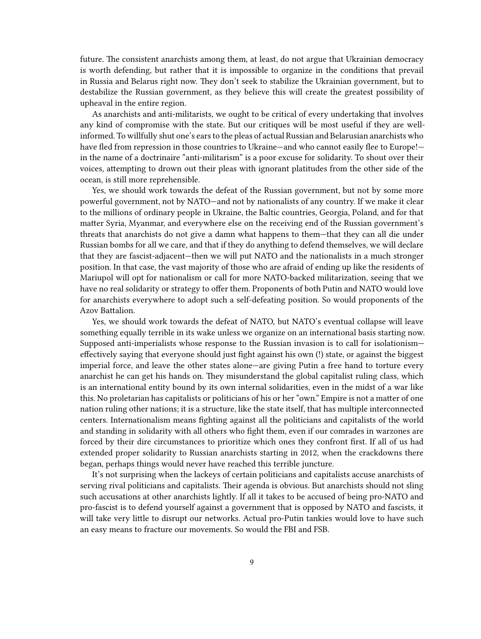future. The consistent anarchists among them, at least, do not argue that Ukrainian democracy is worth defending, but rather that it is impossible to organize in the conditions that prevail in Russia and Belarus right now. They don't seek to stabilize the Ukrainian government, but to destabilize the Russian government, as they believe this will create the greatest possibility of upheaval in the entire region.

As anarchists and anti-militarists, we ought to be critical of every undertaking that involves any kind of compromise with the state. But our critiques will be most useful if they are wellinformed. To willfully shut one's ears to the pleas of actual Russian and Belarusian anarchists who have fled from repression in those countries to Ukraine—and who cannot easily flee to Europe! in the name of a doctrinaire "anti-militarism" is a poor excuse for solidarity. To shout over their voices, attempting to drown out their pleas with ignorant platitudes from the other side of the ocean, is still more reprehensible.

Yes, we should work towards the defeat of the Russian government, but not by some more powerful government, not by NATO—and not by nationalists of any country. If we make it clear to the millions of ordinary people in Ukraine, the Baltic countries, Georgia, Poland, and for that matter Syria, Myanmar, and everywhere else on the receiving end of the Russian government's threats that anarchists do not give a damn what happens to them—that they can all die under Russian bombs for all we care, and that if they do anything to defend themselves, we will declare that they are fascist-adjacent—then we will put NATO and the nationalists in a much stronger position. In that case, the vast majority of those who are afraid of ending up like the residents of Mariupol will opt for nationalism or call for more NATO-backed militarization, seeing that we have no real solidarity or strategy to offer them. Proponents of both Putin and NATO would love for anarchists everywhere to adopt such a self-defeating position. So would proponents of the Azov Battalion.

Yes, we should work towards the defeat of NATO, but NATO's eventual collapse will leave something equally terrible in its wake unless we organize on an international basis starting now. Supposed anti-imperialists whose response to the Russian invasion is to call for isolationism effectively saying that everyone should just fight against his own (!) state, or against the biggest imperial force, and leave the other states alone—are giving Putin a free hand to torture every anarchist he can get his hands on. They misunderstand the global capitalist ruling class, which is an international entity bound by its own internal solidarities, even in the midst of a war like this. No proletarian has capitalists or politicians of his or her "own." Empire is not a matter of one nation ruling other nations; it is a structure, like the state itself, that has multiple interconnected centers. Internationalism means fighting against all the politicians and capitalists of the world and standing in solidarity with all others who fight them, even if our comrades in warzones are forced by their dire circumstances to prioritize which ones they confront first. If all of us had extended proper solidarity to Russian anarchists starting in 2012, when the crackdowns there began, perhaps things would never have reached this terrible juncture.

It's not surprising when the lackeys of certain politicians and capitalists accuse anarchists of serving rival politicians and capitalists. Their agenda is obvious. But anarchists should not sling such accusations at other anarchists lightly. If all it takes to be accused of being pro-NATO and pro-fascist is to defend yourself against a government that is opposed by NATO and fascists, it will take very little to disrupt our networks. Actual pro-Putin tankies would love to have such an easy means to fracture our movements. So would the FBI and FSB.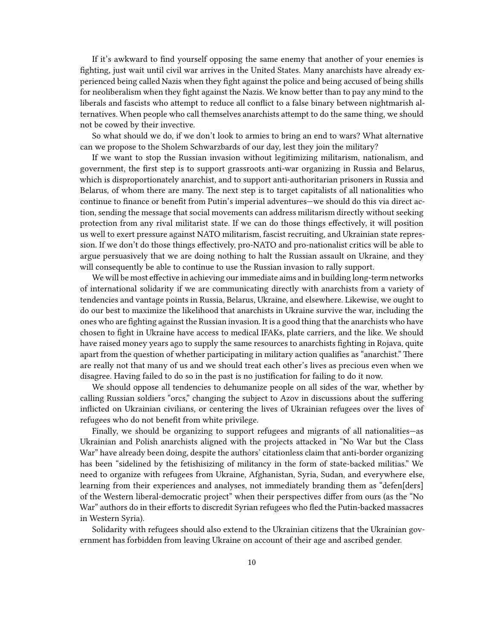If it's awkward to find yourself opposing the same enemy that another of your enemies is fighting, just wait until civil war arrives in the United States. Many anarchists have already experienced being called Nazis when they fight against the police and being accused of being shills for neoliberalism when they fight against the Nazis. We know better than to pay any mind to the liberals and fascists who attempt to reduce all conflict to a false binary between nightmarish alternatives. When people who call themselves anarchists attempt to do the same thing, we should not be cowed by their invective.

So what should we do, if we don't look to armies to bring an end to wars? What alternative can we propose to the Sholem Schwarzbards of our day, lest they join the military?

If we want to stop the Russian invasion without legitimizing militarism, nationalism, and government, the first step is to support grassroots anti-war organizing in Russia and Belarus, which is disproportionately anarchist, and to support anti-authoritarian prisoners in Russia and Belarus, of whom there are many. The next step is to target capitalists of all nationalities who continue to finance or benefit from Putin's imperial adventures—we should do this via direct action, sending the message that social movements can address militarism directly without seeking protection from any rival militarist state. If we can do those things effectively, it will position us well to exert pressure against NATO militarism, fascist recruiting, and Ukrainian state repression. If we don't do those things effectively, pro-NATO and pro-nationalist critics will be able to argue persuasively that we are doing nothing to halt the Russian assault on Ukraine, and they will consequently be able to continue to use the Russian invasion to rally support.

We will be most effective in achieving our immediate aims and in building long-term networks of international solidarity if we are communicating directly with anarchists from a variety of tendencies and vantage points in Russia, Belarus, Ukraine, and elsewhere. Likewise, we ought to do our best to maximize the likelihood that anarchists in Ukraine survive the war, including the ones who are fighting against the Russian invasion. It is a good thing that the anarchists who have chosen to fight in Ukraine have access to medical IFAKs, plate carriers, and the like. We should have raised money years ago to supply the same resources to anarchists fighting in Rojava, quite apart from the question of whether participating in military action qualifies as "anarchist." There are really not that many of us and we should treat each other's lives as precious even when we disagree. Having failed to do so in the past is no justification for failing to do it now.

We should oppose all tendencies to dehumanize people on all sides of the war, whether by calling Russian soldiers "orcs," changing the subject to Azov in discussions about the suffering inflicted on Ukrainian civilians, or centering the lives of Ukrainian refugees over the lives of refugees who do not benefit from white privilege.

Finally, we should be organizing to support refugees and migrants of all nationalities—as Ukrainian and Polish anarchists aligned with the projects attacked in "No War but the Class War" have already been doing, despite the authors' citationless claim that anti-border organizing has been "sidelined by the fetishisizing of militancy in the form of state-backed militias." We need to organize with refugees from Ukraine, Afghanistan, Syria, Sudan, and everywhere else, learning from their experiences and analyses, not immediately branding them as "defen[ders] of the Western liberal-democratic project" when their perspectives differ from ours (as the "No War" authors do in their efforts to discredit Syrian refugees who fled the Putin-backed massacres in Western Syria).

Solidarity with refugees should also extend to the Ukrainian citizens that the Ukrainian government has forbidden from leaving Ukraine on account of their age and ascribed gender.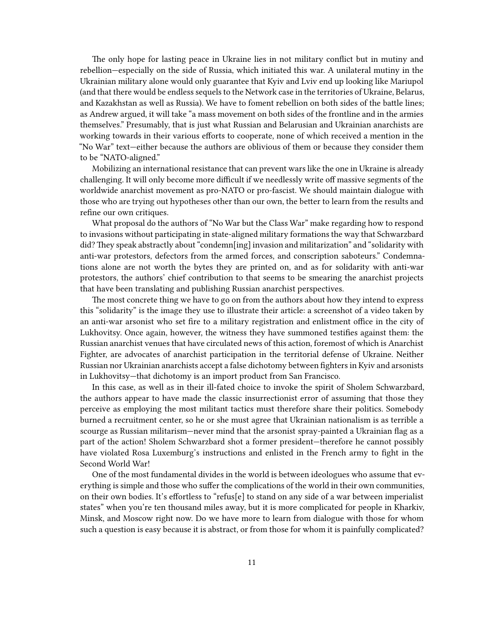The only hope for lasting peace in Ukraine lies in not military conflict but in mutiny and rebellion—especially on the side of Russia, which initiated this war. A unilateral mutiny in the Ukrainian military alone would only guarantee that Kyiv and Lviv end up looking like Mariupol (and that there would be endless sequels to the Network case in the territories of Ukraine, Belarus, and Kazakhstan as well as Russia). We have to foment rebellion on both sides of the battle lines; as Andrew argued, it will take "a mass movement on both sides of the frontline and in the armies themselves." Presumably, that is just what Russian and Belarusian and Ukrainian anarchists are working towards in their various efforts to cooperate, none of which received a mention in the "No War" text—either because the authors are oblivious of them or because they consider them to be "NATO-aligned."

Mobilizing an international resistance that can prevent wars like the one in Ukraine is already challenging. It will only become more difficult if we needlessly write off massive segments of the worldwide anarchist movement as pro-NATO or pro-fascist. We should maintain dialogue with those who are trying out hypotheses other than our own, the better to learn from the results and refine our own critiques.

What proposal do the authors of "No War but the Class War" make regarding how to respond to invasions without participating in state-aligned military formations the way that Schwarzbard did? They speak abstractly about "condemn[ing] invasion and militarization" and "solidarity with anti-war protestors, defectors from the armed forces, and conscription saboteurs." Condemnations alone are not worth the bytes they are printed on, and as for solidarity with anti-war protestors, the authors' chief contribution to that seems to be smearing the anarchist projects that have been translating and publishing Russian anarchist perspectives.

The most concrete thing we have to go on from the authors about how they intend to express this "solidarity" is the image they use to illustrate their article: a screenshot of a video taken by an anti-war arsonist who set fire to a military registration and enlistment office in the city of Lukhovitsy. Once again, however, the witness they have summoned testifies against them: the Russian anarchist venues that have circulated news of this action, foremost of which is Anarchist Fighter, are advocates of anarchist participation in the territorial defense of Ukraine. Neither Russian nor Ukrainian anarchists accept a false dichotomy between fighters in Kyiv and arsonists in Lukhovitsy—that dichotomy is an import product from San Francisco.

In this case, as well as in their ill-fated choice to invoke the spirit of Sholem Schwarzbard, the authors appear to have made the classic insurrectionist error of assuming that those they perceive as employing the most militant tactics must therefore share their politics. Somebody burned a recruitment center, so he or she must agree that Ukrainian nationalism is as terrible a scourge as Russian militarism—never mind that the arsonist spray-painted a Ukrainian flag as a part of the action! Sholem Schwarzbard shot a former president—therefore he cannot possibly have violated Rosa Luxemburg's instructions and enlisted in the French army to fight in the Second World War!

One of the most fundamental divides in the world is between ideologues who assume that everything is simple and those who suffer the complications of the world in their own communities, on their own bodies. It's effortless to "refus[e] to stand on any side of a war between imperialist states" when you're ten thousand miles away, but it is more complicated for people in Kharkiv, Minsk, and Moscow right now. Do we have more to learn from dialogue with those for whom such a question is easy because it is abstract, or from those for whom it is painfully complicated?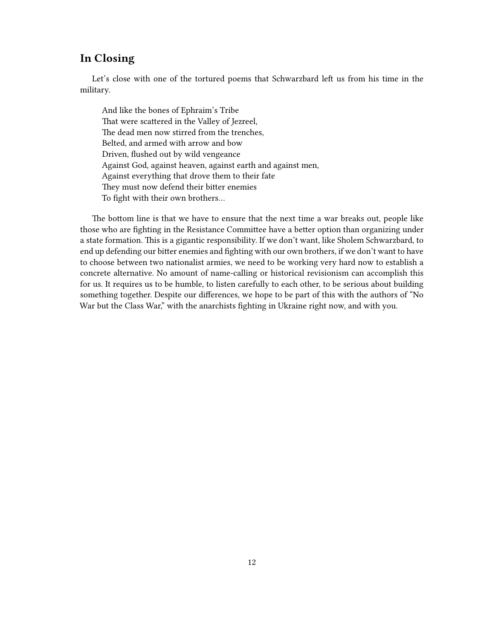#### <span id="page-11-0"></span>**In Closing**

Let's close with one of the tortured poems that Schwarzbard left us from his time in the military.

And like the bones of Ephraim's Tribe That were scattered in the Valley of Jezreel, The dead men now stirred from the trenches, Belted, and armed with arrow and bow Driven, flushed out by wild vengeance Against God, against heaven, against earth and against men, Against everything that drove them to their fate They must now defend their bitter enemies To fight with their own brothers…

The bottom line is that we have to ensure that the next time a war breaks out, people like those who are fighting in the Resistance Committee have a better option than organizing under a state formation. This is a gigantic responsibility. If we don't want, like Sholem Schwarzbard, to end up defending our bitter enemies and fighting with our own brothers, if we don't want to have to choose between two nationalist armies, we need to be working very hard now to establish a concrete alternative. No amount of name-calling or historical revisionism can accomplish this for us. It requires us to be humble, to listen carefully to each other, to be serious about building something together. Despite our differences, we hope to be part of this with the authors of "No War but the Class War," with the anarchists fighting in Ukraine right now, and with you.